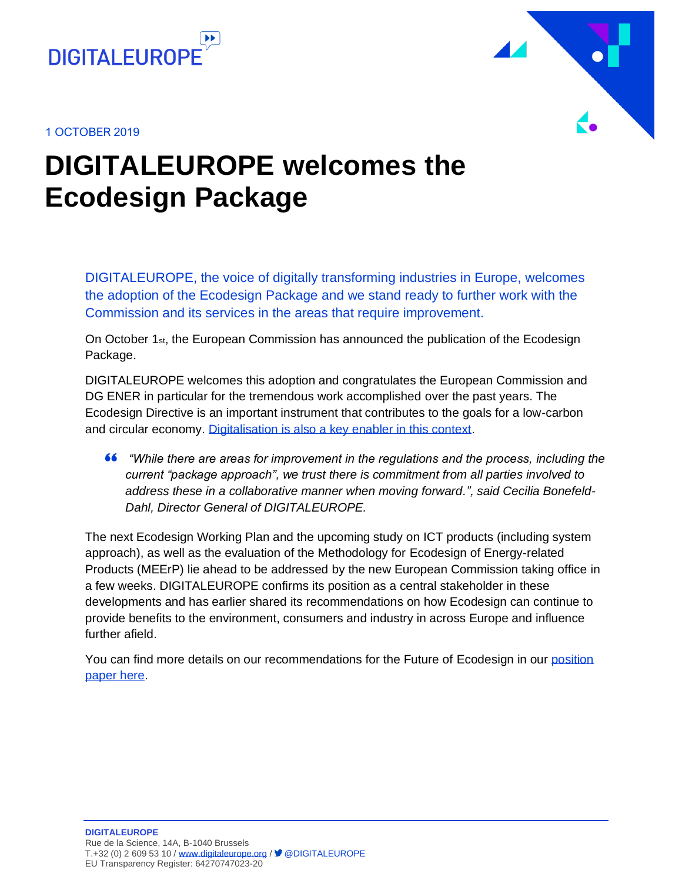





## **DIGITALEUROPE welcomes the Ecodesign Package**

DIGITALEUROPE, the voice of digitally transforming industries in Europe, welcomes the adoption of the Ecodesign Package and we stand ready to further work with the Commission and its services in the areas that require improvement.

On October 1 $st$ , the European Commission has announced the publication of the Ecodesign Package.

DIGITALEUROPE welcomes this adoption and congratulates the European Commission and DG ENER in particular for the tremendous work accomplished over the past years. The Ecodesign Directive is an important instrument that contributes to the goals for a low-carbon and circular economy. [Digitalisation is also a key enabler in this context.](mailto:https://www.digitaleurope.org/resources/digitalisation-as-key-for-a-sustainable-europe-our-call-to-action-for-the-eus-strategic-agenda-2019-2020/)

*"While there are areas for improvement in the regulations and the process, including the current "package approach", we trust there is commitment from all parties involved to address these in a collaborative manner when moving forward.", said Cecilia Bonefeld-Dahl, Director General of DIGITALEUROPE.*

The next Ecodesign Working Plan and the upcoming study on ICT products (including system approach), as well as the evaluation of the Methodology for Ecodesign of Energy-related Products (MEErP) lie ahead to be addressed by the new European Commission taking office in a few weeks. DIGITALEUROPE confirms its position as a central stakeholder in these developments and has earlier shared its recommendations on how Ecodesign can continue to provide benefits to the environment, consumers and industry in across Europe and influence further afield.

You can find more details on our recommendations for the Future of Ecodesign in ou[r position](https://www.digitaleurope.org/resources/the-future-of-ecodesign/)  [paper here.](https://www.digitaleurope.org/resources/the-future-of-ecodesign/)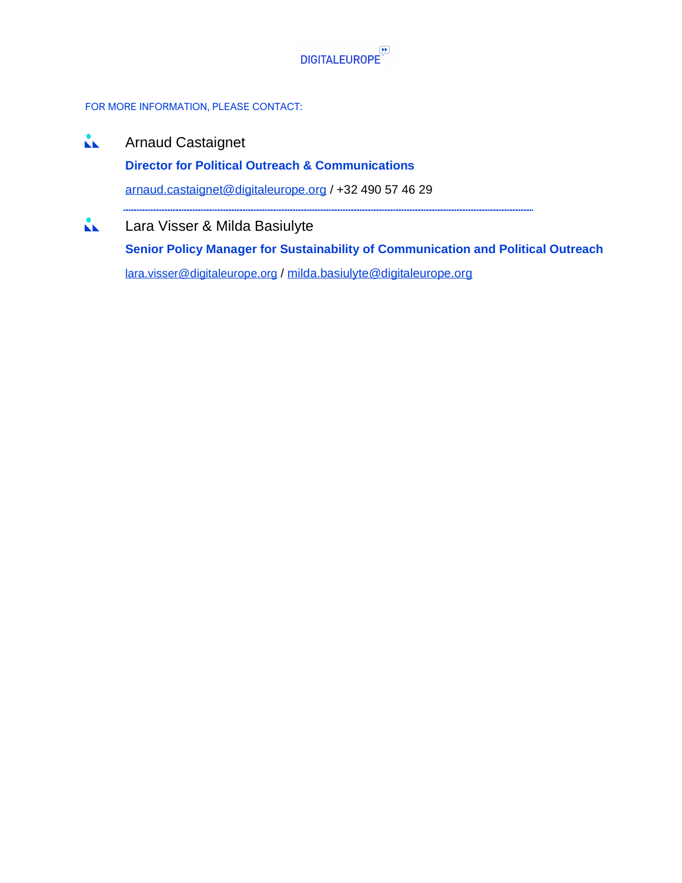

### FOR MORE INFORMATION, PLEASE CONTACT:

 $\mathbf{A}$ Arnaud Castaignet **Director for Political Outreach & Communications** [arnaud.castaignet@digitaleurope.org](mailto:arnaud.castaignet@digitaleurope.org) / +32 490 57 46 29  $\mathbf{L}$ Lara Visser & Milda Basiulyte **Senior Policy Manager for Sustainability of Communication and Political Outreach**

[lara.visser@digitaleurope.org](mailto:lara.visser@digitaleurope.org) / [milda.basiulyte@digitaleurope.org](mailto:milda.basiulyte@digitaleurope.org)